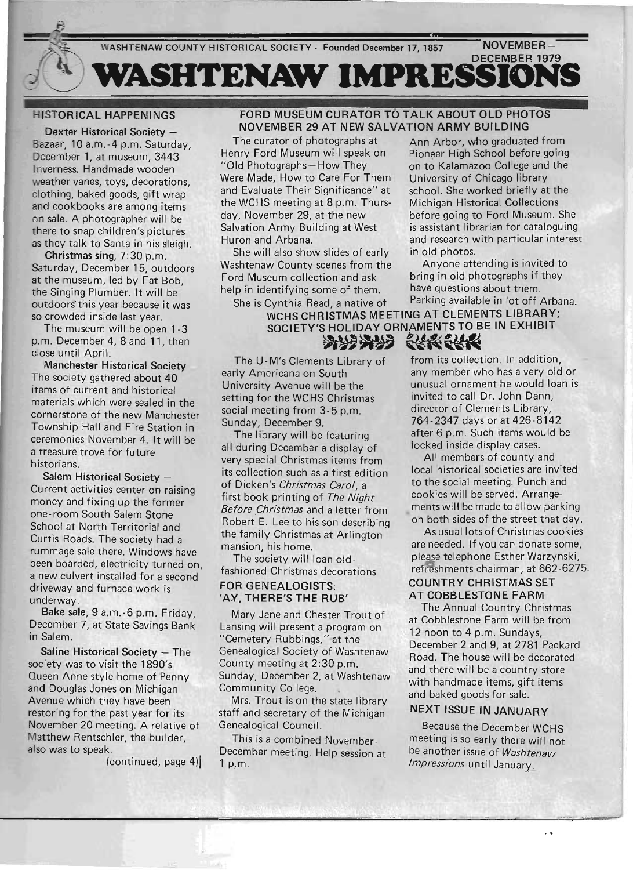

# HISTORICAL HAPPENINGS

Dexter Historical Society -Bazaar, 10 a.m.-4 p.m. Saturday, December 1, at museum, 3443 Inverness. Handmade wooden weather vanes, toys, decorations, clothing, baked goods, gift wrap and cookbooks are among items on sale. A photographer will be there to snap children's pictures as they talk to Santa in his sleigh.

Christmas sing, 7:30 p.m. Saturday, Sing, P.O. p.m.  $\frac{1}{100}$  museum, led by  $\Gamma_{\text{tot}}$  Bob, at the museum, led by Fat Bob, the Singing Plumber. It will be<br>outdoors' this year because it was so crowded inside last year.

The museum will be open 1-3 p.m. December 4, 8 and 11, then close until April.

Manchester Historical Society -The society gathered about 40 items of current and historical materials which were sealed in the cornerstone of the new Manchester Township Hall and Fire Station in ceremonies November 4. It will be  $\frac{1}{2}$  treasure trace for future a treasure trove for future<br>historians.

Salem Historical Society -Current activities contenus on raising mone activities center on raising money and fixing up the former<br>one-room South Salem Stone School at North Territorial and  $\frac{1}{2}$ Curtis Roads. The society had alleged Curtis Roads. The society had a<br>rummage sale there. Windows have been boarded, electricity turned on, a new culvert installed for a second driver this talled for a section **u**cway and Bake sale, 9 a.m.-6 p.m. Friday,

Dance  $\frac{1}{2}$  at  $\frac{1}{2}$  at  $\frac{1}{2}$  at  $\frac{1}{2}$  and  $\frac{1}{2}$  and  $\frac{1}{2}$  and  $\frac{1}{2}$  and  $\frac{1}{2}$  and  $\frac{1}{2}$  and  $\frac{1}{2}$  and  $\frac{1}{2}$  and  $\frac{1}{2}$  and  $\frac{1}{2}$  and  $\frac{1}{2}$  and  $\frac{1}{2}$  and  $\frac{1}{2}$ December 7, at State Savings Bank<br>in Salem. Saline Historical Society - The

 $s$  control is to relate the 1990's society was to visit the 1890's<br>Queen Anne style home of Penny acchi Anne style nome of Fenny<br>Id Douglas Jones on Michigan Avenue which they have been Avenue which they have been restoring for the past year for its November 20 meeting. A relative of Matthew Rentschler, the builder,<br>also was to speak.

 $(continued, page 4)$ 

#### FORD MUSEUM CURATOR TO TALK ABOUT OLD PHOTOS NOVEMBER 29 AT NEW SALVATION ARMY BUILDING The curator of photographs at  $A = A + A$  is the supplied from

Henry Ford Museum will speak on Pioneer High School before going<br>"Old Photographs- How They on to Kalamazoo College and the Were Made, How to Care For Them University of Chicago library and Evaluate Their Significance" at school. She worked briefly at the the WCHS meeting at 8 p.m. Thursthe WCHS meeting at 8 p.m. Thurs-<br>day, November 29, at the new before going to Ford Museum. She Salvation Army Building at West is assistant librarian for cataloguing Huron and Arbana. The same and research with particular interest

She will also show slides of early in old photos. Ford Museum collection and ask bring in old photographs if they help in identifying some of them. have questions about them.

WCHS CHRISTMAS MEETING AT CLEMENTS LIBRARY; SOCIETY'S HOLIDAY ORNAMENTS TO BE IN EXHIBIT

The U-M's Clements Library of<br>early Americana on South University Avenue will be the setting for the WCHS Christmas social meeting from 3-5 p.m. Sunday, December 9.

The library will be featuring all during December a display of very special Christmas items from its collection such as a first edition of Dicken's *Christmas Carol* a first book printing of *The Night Before Christmas* and a letter from Robert E. Lee to his son describing opert L. Lee to his son describing manda and a mandatum and a mandatum and a mandatum and a mandatum and a mandatum and a mandatum and a mandatum<br>Tha management and a mandatum and a management and a mandatum and a mandatum and a mandatum and a mandatum and  $\frac{1}{2}$ 

Fine society will loan oldfashioned Christmas decorations<br>FOR GENEALOGISTS: 'AY, THERE'S THE RUB'

Mary Jane and Chester Trout of Ividi y Jane and Orester Trout Of ansing will present a program o "Cemetery Rubbings," at the Genealogical Society of Washtenaw<br>County meeting at 2:30 p.m. Sunday, December 2, at Washtenaw  $C_0$   $C_1$   $C_2$   $C_3$   $C_4$   $C_5$   $C_6$   $C_7$   $C_8$   $C_9$   $C_9$   $C_9$   $C_9$   $C_9$   $C_9$   $C_9$   $C_9$   $C_9$   $C_9$   $C_9$   $C_9$   $C_9$   $C_9$   $C_9$   $C_9$   $C_9$   $C_9$   $C_9$   $C_9$   $C_9$   $C_9$   $C_9$   $C_9$   $C_9$   $C_9$   $C_9$   $C_9$ manney Conege.<br>\*\* Trout is an the state library

 $\frac{1}{2}$  state in  $\frac{1}{2}$  and  $\frac{1}{2}$  are  $\frac{1}{2}$  and  $\frac{1}{2}$  are  $\frac{1}{2}$  and  $\frac{1}{2}$  are  $\frac{1}{2}$  are  $\frac{1}{2}$  and  $\frac{1}{2}$  are  $\frac{1}{2}$  are  $\frac{1}{2}$  and  $\frac{1}{2}$  are  $\frac{1}{2}$  are  $\frac{1}{2}$  and  $\frac{1}{$ staff and secretary of the Michigan<br>Genealogical Council.

This is a combined November-Prins is a combined inverniber- $\frac{1}{2}$ 

Henry Ford Museum will speak on Pioneer High School before going

Washtenaw County scenes from the Anyone attending is invited to She is Cynthia Read, a native of Parking available in lot off Arbana.

**FORM CONTROL**<br>from its collection. In addition, any member who has a very old or unusual ornament he would loan is invited to call Dr. John Dann, vited to call Dr. John Dahn, director of Clements Library,<br>764-2347 days or at 426-8142 after 6 p.m. Such items would be locked inside display cases.

All members of county and All include is of county and to the social meeting. Punch and to the social meeting. Punch and<br>cookies will be served. Arrangements will be made to allow parking ents will be made to allow parking

on both sides of the street that day.<br>As usual lots of Christmas cookies are needed. If you can donate some, please telephone Esther Warzynski, refreshments chairman, at 662-6275. COUNTRY CHRISTMAS SET AT COBBLESTONE FARM The Annual Country Christmas

**The Alliudi Country Christinas** at Cobblestone Farm will be from<br>12 noon to 4 p.m. Sundays,  $\Omega$  Hoon to 4 p.m. Junuays,  $\Omega$  and  $\Omega$  at  $2701$  Packard  $\Omega$  $R = 2 \text{ cm}$  and  $\sigma$ , at  $\epsilon$  /  $\sigma$  +  $\epsilon$  +  $\epsilon$  +  $\epsilon$  +  $\epsilon$  +  $\epsilon$  +  $\epsilon$  +  $\epsilon$  +  $\epsilon$  +  $\epsilon$  +  $\epsilon$  +  $\epsilon$  +  $\epsilon$  +  $\epsilon$  +  $\epsilon$  +  $\epsilon$  +  $\epsilon$  +  $\epsilon$  +  $\epsilon$  +  $\epsilon$  +  $\epsilon$  +  $\epsilon$  +  $\epsilon$  +  $\epsilon$  +  $\epsilon$  +  $\epsilon$  +  $\epsilon$  + Road. The house will be decorated and there will be a country store with handmade items, gift items<br>and baked goods for sale.

# NEXT ISSUE IN JANUARY

 $Bes(1)$ pecuase the December WCHS meeting is so early there will not be another issue of *Washtenaw*<br>Impressions until January.

 $\bar{\psi}$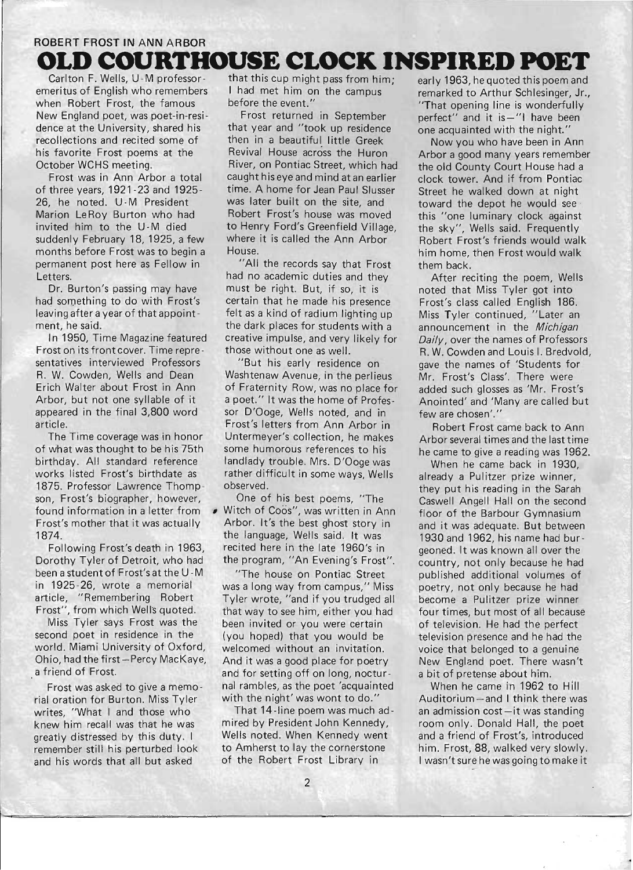# **ROBERT FROST IN ANN ARBOR OLD COURTHOUSE CLOCK INSPIRED POET**

Carlton F. Wells, U-M professoremeritus of English who remembers when Robert Frost, the famous New England poet, was poet-in-residence at the University, shared his recollections and recited some of his favorite Frost poems at the October WCHS meeting.

Frost was in Ann Arbor a total of th ree years, 1921 -23 and 1925- 26, he noted. U -M President Marion LeRoy Burton who had invited him to the U-M died suddenly February 18, 1925, a few months before Frost was to begin a permanent post here as Fellow in Letters.

Dr. Burton's passing may have had something to do with Frost's leaving after a year of that appointment, he said.

In 1950, Time Magazine featured Frost on its front cover. Time representatives interviewed Professors R. W. Cowden, Wells and Dean Erich Walter about Frost in Ann Arbor, but not one syllable of it appeared in the final 3,800 word article.

The Time coverage was in honor of what was thought to be his 75th birthday. All standard reference works listed Frost's birthdate as 1875. Professor Lawrence Thompson, Frost's biographer, however, found information in a letter from Frost's mother that it was actually 1874.

Following Frost's death in 1963, Dorothy Tyler of Detroit, who had been a student of Frost's at the U -M in 1925-26, wrote a memorial article, "Remembering Robert Frost", from which Wells quoted.

Miss Tyler says Frost was the second poet in residence in the world. Miami University of Oxford, . Ohio, had the first-Percy MacKaye, a friend of Frost.

Frost was asked to give a memorial oration for Burton. Miss Tyler writes, "What I and those who knew him recall was that he was greatly distressed by this duty. I remember still his perturbed look and his words that all but asked

that this cup might pass from him; I had met him on the campus before the event."

Frost returned in September that year and "took up residence then in a beautiful little Greek Revival House across the Huron River, on Pontiac Street, which had caught his eye and mind at an earlier time. A home for Jean Paul Slusser was later built on the site, and Robert Frost's house was moved to Henry Ford's Greenfield Village, where it is called the Ann Arbor House.

"All the records say that Frost had no academic duties and they must be right. But, if so, it is certain that he made his presence felt as a kind of radium lighting up the dark places for students with a creative impulse, and very likely for those without one as well.

"But his early residence on Washtenaw Avenue, in the perlieus of Fraternity Row, was no place for a poet." It was the home of Professor D'Ooge, Wells noted, and in Frost's letters from Ann Arbor in Untermeyer's collection, he makes some humorous references to his landlady trouble. Mrs. D'Ooge was rather difficult in some ways, Wells observed.

One of his best poems, "The Witch of Coos", was written in Ann Arbor. It's the best ghost story in the language, Wells said. It was recited here in the late 1960's in the program, "An Evening's Frost".

"The house on Pontiac Street was a long way from campus," Miss Tyler wrote, "and if you trudged all that way to see him, either you had been invited or you were certain (you hoped) that you would be welcomed without an invitation. And it was a good place for poetry and for setting off on long, nocturnal rambles, as the poet 'acquainted with the night' was wont to do."

That 14-line poem was much admired by President John Kennedy, Wells noted. When Kennedy went to Amherst to lay the cornerstone of the Robert Frost Library in

early 1963, he quoted this poem and remarked to Arthur Schlesinger, Jr., "That opening line is wonderfully perfect" and it is -"I have been one acquainted with the night."

Now you who have been in Ann Arbor a good many years remember the old County Court House had a clock tower. And if from Pontiac Street he walked down at night toward the depot he would see this "one luminary clock against the sky", Wells said. Frequently Robert Frost's friends would walk him home, then Frost would walk them back.

After reciting the poem, Wells noted that Miss Tyler got into Frost's class called English 186. Miss Tyler continued, "Later an announcement in the Michigan Daily, over the names of Professors R. W. Cowden and Louis I. Bredvold, gave the names of 'Students for Mr. Frost's Class'. There were added such glosses as 'Mr. Frost's Anointed' and 'Many are called but few are chosen'."

Robert Frost came back to Ann Arbor several times and the last time he came to give a reading was 1962.

When he came back in 1930, already a Pulitzer prize winner, they put his reading in the Sarah Caswell Angell Hall on the second floor of the Barbour Gymnasium and it was adequate. But between 1930 and 1962, his name had burgeoned. It was known all over the country, not only because he had published additional volumes of poetry, not only because he had become a Pulitzer prize winner four times, but most of all because of television. He had the perfect television presence and he had the voice that belonged to a genuine New England poet. There wasn't a bit of pretense about him.

When he came in 1962 to Hill Auditorium - and I think there was an admission  $cost - it$  was standing room only. Donald Hall, the poet and a friend of Frost's, introduced him. Frost, 88, walked very slowly. I wasn't sure he was going to make it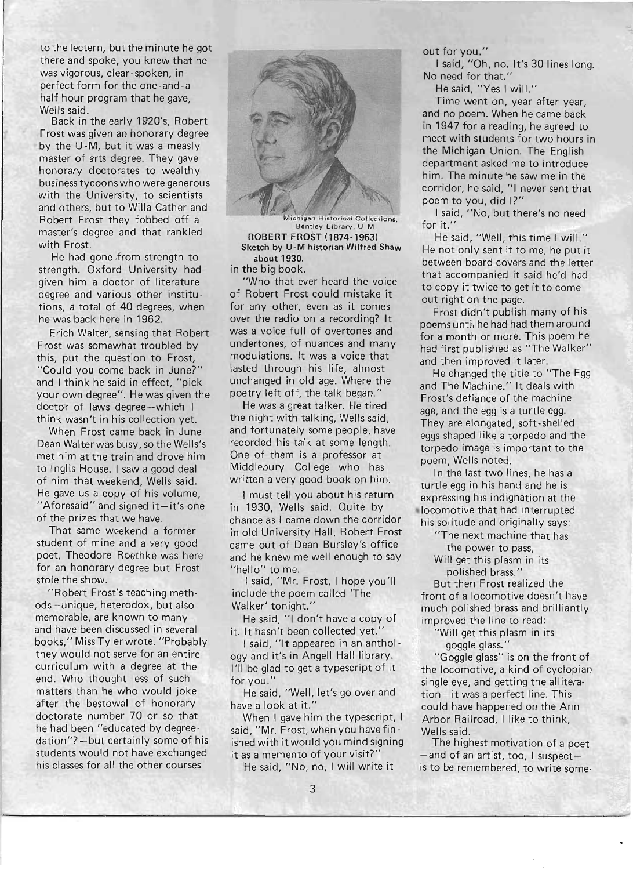to the lectern, but the minute he got there and spoke, you knew that he was vigorous, clear-spoken, in perfect form for the one-and-a half hour program that he gave, Wells said.

Back in the early 1920's, Robert Frost was given an honorary degree by the U-M, but it was a measly master of arts degree. They gave honorary doctorates to wealthy business tycoons who were generous with the University, to scientists and others, but to Willa Cather and Robert Frost they fobbed off a master's degree and that rankled with Frost.

He had gone ,from strength to strength. Oxford University had given him a doctor of literature degree and various other institutions, a total of 40 degrees, when he was back here in 1962.

Erich Walter, sensing that Robert Frost was somewhat troubled by this, put the question to Frost, "Could you come back in June?" and I think he said in effect, "pick your own degree". He was given the doctor of laws degree-which I think wasn't in his collection yet.

When Frost came back in June Dean Walter was busy, so the Wells's met him at the train and drove him to Inglis House. I saw a good deal of him that weekend, Wells said. He gave us a copy of his volume, "Aforesaid" and signed  $it-it's$  one of the prizes that we have.

That same weekend a former student of mine and a very good poet, Theodore Roethke was here for an honorary degree but Frost stole the show.

"Robert Frost's teaching methods-unique, heterodox, but also memorable, are known to many and have been discussed in several books," Miss Tyler wrote. "Probably they would not serve for an entire curriculum with a degree at the end. Who thought less of such matters than he who would joke after the bestowal of honorary doctorate number 70 or so that he had been "educated by degreedation"?-but certainly some of his students would not have exchanged his classes for all the other courses



higan Historical Collections, Bentley Library, U-N ROBERT FROST (1874-1963) Sketch by U-M historian Wilfred Shaw about 1930.

in the big book.

"Who that ever heard the voice of Robert Frost could mistake it for any other, even as it comes over the radio on a recording? It was a voice full of overtones and undertones, of nuances and many modulations. It was a voice that lasted through his life, almost unchanged in old age. Where the poetry left off, the talk began."

He was a great talker. He tired the night with talking, Wells said, and fortunately some people, have recorded his talk at some length. One of them is a professor at Middlebury College who has written a very good book on him.

I must tell you about his return in 1930, Wells said. Quite by chance as I came down the corridor in old University Hall, Robert Frost came out of Dean Bursley's office and he knew me well enough to say "hello" to me.

I said, "Mr. Frost, I hope you'll include the poem called 'The Walker' tonight."

He said, "1 don't have a copy of it. It hasn't been collected yet.'

I said, "It appeared in an anthology and it's in Angell Hall library. I'll be glad to get a typescript of it for you."

He said, "Well, let's go over and have a look at it."

When I gave him the typescript, I said, "Mr. Frost, when you have finished with it would you mind signing it as a memento of your visit?"

He said, "No, no, I will write it

out for you."

I said, "Oh, no. It's 30 lines long. No need for that."

He said, "Yes I will."

Time went on, year after year, and no poem. When he came back in 1947 for a reading, he agreed to meet with students for two hours in the Michigan Union. The English department asked me to introduce him. The minute he saw me in the corridor, he said, "1 never sent that poem to you, did I?"

I said, "No, but there's no need for it."

He said, "Well, this time I will." He not only sent it to me, he put it between board covers and the letter that accompanied it said he'd had to copy it twice to get it to come out right on the page.

Frost didn't publish many of his poems until he had had them around for a month or more. This poem he had first published as "The Walker" and then improved it later.

He changed the title to "The Egg and The Machine." It deals with Frost's defiance of the machine age, and the egg is a turtle egg. They are elongated, soft-shelled eggs shaped like a torpedo and the torpedo image is important to the poem, Wells noted.

In the last two lines, he has a turtle egg in his hand and he is expressing his indignation at the locomotive that had interrupted his solitude and originally says:

> "The next machine that has the power to pass,

Will get this plasm in its polished brass."

But then Frost realized the front of a locomotive doesn't have much polished brass and brilliantly improved the line to read:

"Will get this plasm in its goggle glass."

"Goggle glass" is on the front of the locomotive, a kind of cyclopian single eye, and getting the alliteration-it was a perfect line. This could have happened on the Ann Arbor Railroad, I like to think, Wells said.

The highest motivation of a poet -and of an artist, too, I suspectis to be remembered, to write some